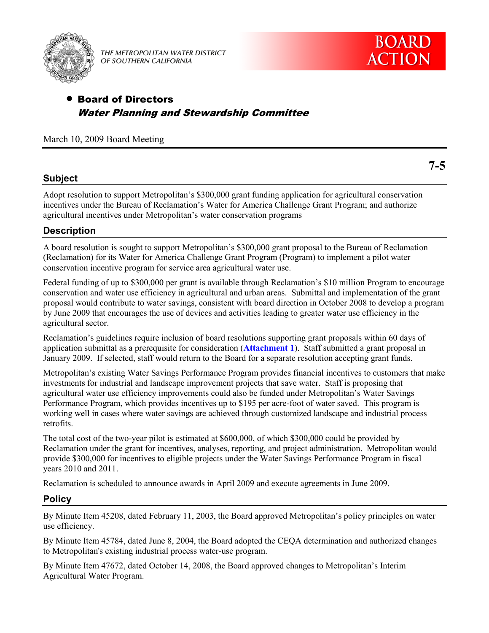

THE METROPOLITAN WATER DISTRICT OF SOUTHERN CALIFORNIA

# Board of Directors Water Planning and Stewardship Committee

March 10, 2009 Board Meeting

## **Subject**

Adopt resolution to support Metropolitan's \$300,000 grant funding application for agricultural conservation incentives under the Bureau of Reclamation's Water for America Challenge Grant Program; and authorize agricultural incentives under Metropolitan's water conservation programs

### **Description**

A board resolution is sought to support Metropolitan's \$300,000 grant proposal to the Bureau of Reclamation (Reclamation) for its Water for America Challenge Grant Program (Program) to implement a pilot water conservation incentive program for service area agricultural water use.

Federal funding of up to \$300,000 per grant is available through Reclamation's \$10 million Program to encourage conservation and water use efficiency in agricultural and urban areas. Submittal and implementation of the grant proposal would contribute to water savings, consistent with board direction in October 2008 to develop a program by June 2009 that encourages the use of devices and activities leading to greater water use efficiency in the agricultural sector.

Reclamation's guidelines require inclusion of board resolutions supporting grant proposals within 60 days of application submittal as a prerequisite for consideration (**[Attachment 1](#page-2-0)**). Staff submitted a grant proposal in January 2009. If selected, staff would return to the Board for a separate resolution accepting grant funds.

Metropolitan's existing Water Savings Performance Program provides financial incentives to customers that make investments for industrial and landscape improvement projects that save water. Staff is proposing that agricultural water use efficiency improvements could also be funded under Metropolitan's Water Savings Performance Program, which provides incentives up to \$195 per acre-foot of water saved. This program is working well in cases where water savings are achieved through customized landscape and industrial process retrofits.

The total cost of the two-year pilot is estimated at \$600,000, of which \$300,000 could be provided by Reclamation under the grant for incentives, analyses, reporting, and project administration. Metropolitan would provide \$300,000 for incentives to eligible projects under the Water Savings Performance Program in fiscal years 2010 and 2011.

Reclamation is scheduled to announce awards in April 2009 and execute agreements in June 2009.

### **Policy**

By Minute Item 45208, dated February 11, 2003, the Board approved Metropolitan's policy principles on water use efficiency.

By Minute Item 45784, dated June 8, 2004, the Board adopted the CEQA determination and authorized changes to Metropolitan's existing industrial process water-use program.

By Minute Item 47672, dated October 14, 2008, the Board approved changes to Metropolitan's Interim Agricultural Water Program.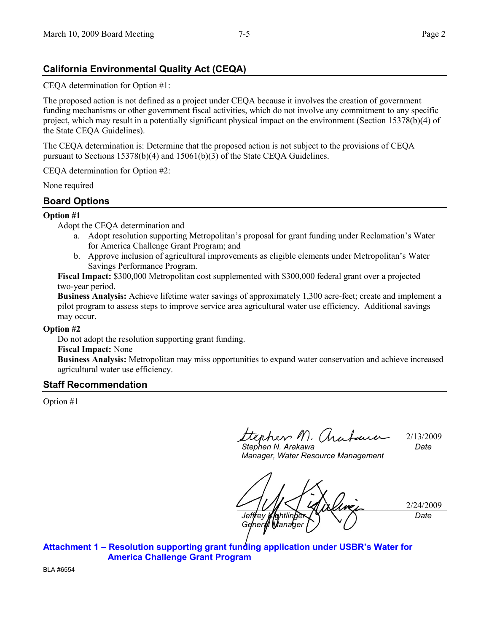# **California Environmental Quality Act (CEQA)**

CEQA determination for Option #1:

The proposed action is not defined as a project under CEQA because it involves the creation of government funding mechanisms or other government fiscal activities, which do not involve any commitment to any specific project, which may result in a potentially significant physical impact on the environment (Section 15378(b)(4) of the State CEQA Guidelines).

The CEQA determination is: Determine that the proposed action is not subject to the provisions of CEQA pursuant to Sections 15378(b)(4) and 15061(b)(3) of the State CEQA Guidelines.

CEQA determination for Option #2:

None required

## **Board Options**

### **Option #1**

Adopt the CEQA determination and

- a. Adopt resolution supporting Metropolitan's proposal for grant funding under Reclamation's Water for America Challenge Grant Program; and
- b. Approve inclusion of agricultural improvements as eligible elements under Metropolitan's Water Savings Performance Program.

**Fiscal Impact:** \$300,000 Metropolitan cost supplemented with \$300,000 federal grant over a projected two-year period.

**Business Analysis:** Achieve lifetime water savings of approximately 1,300 acre-feet; create and implement a pilot program to assess steps to improve service area agricultural water use efficiency. Additional savings may occur.

### **Option #2**

Do not adopt the resolution supporting grant funding.

### **Fiscal Impact:** None

**Business Analysis:** Metropolitan may miss opportunities to expand water conservation and achieve increased agricultural water use efficiency.

### **Staff Recommendation**

Option #1

2/13/2009 *Date*

*Stephen N. Arakawa Manager, Water Resource Management*

2/24/2009 *Jeffrey Kightlinger General Manager Date*

**Attachment 1 – [Resolution supporting grant funding application under USBR's Water for](#page-2-0)  America Challenge Grant Program** 

BLA #6554